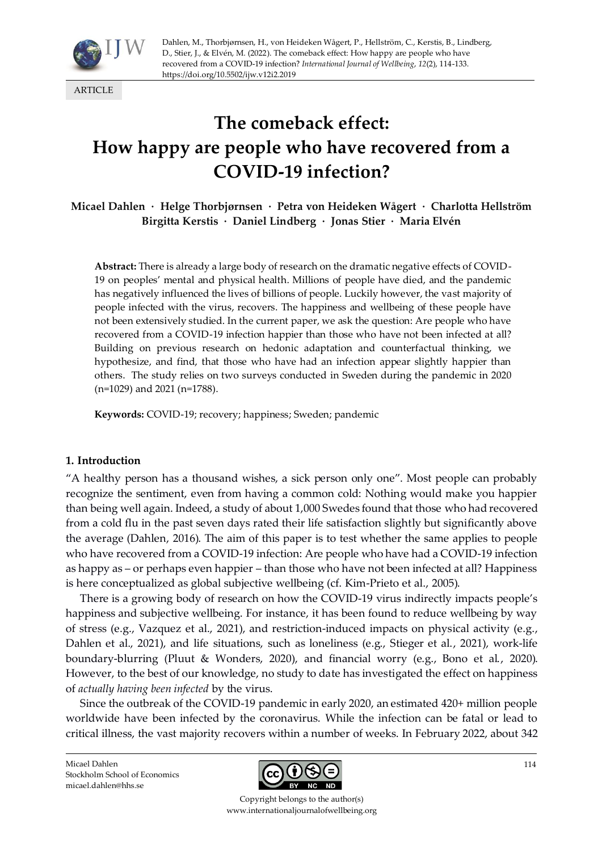

ARTICLE

# **The comeback effect: How happy are people who have recovered from a COVID-19 infection?**

**Micael Dahlen · Helge Thorbjørnsen · Petra von Heideken Wågert · Charlotta Hellström Birgitta Kerstis · Daniel Lindberg · Jonas Stier · Maria Elvén**

**Abstract:** There is already a large body of research on the dramatic negative effects of COVID-19 on peoples' mental and physical health. Millions of people have died, and the pandemic has negatively influenced the lives of billions of people. Luckily however, the vast majority of people infected with the virus, recovers. The happiness and wellbeing of these people have not been extensively studied. In the current paper, we ask the question: Are people who have recovered from a COVID-19 infection happier than those who have not been infected at all? Building on previous research on hedonic adaptation and counterfactual thinking, we hypothesize, and find, that those who have had an infection appear slightly happier than others. The study relies on two surveys conducted in Sweden during the pandemic in 2020 (n=1029) and 2021 (n=1788).

**Keywords:** COVID-19; recovery; happiness; Sweden; pandemic

## **1. Introduction**

"A healthy person has a thousand wishes, a sick person only one". Most people can probably recognize the sentiment, even from having a common cold: Nothing would make you happier than being well again. Indeed, a study of about 1,000 Swedes found that those who had recovered from a cold flu in the past seven days rated their life satisfaction slightly but significantly above the average (Dahlen, 2016). The aim of this paper is to test whether the same applies to people who have recovered from a COVID-19 infection: Are people who have had a COVID-19 infection as happy as – or perhaps even happier – than those who have not been infected at all? Happiness is here conceptualized as global subjective wellbeing (cf. Kim-Prieto et al., 2005).

There is a growing body of research on how the COVID-19 virus indirectly impacts people's happiness and subjective wellbeing. For instance, it has been found to reduce wellbeing by way of stress (e.g., Vazquez et al., 2021), and restriction-induced impacts on physical activity (e.g., Dahlen et al., 2021), and life situations, such as loneliness (e.g., Stieger et al., 2021), work-life boundary-blurring (Pluut & Wonders, 2020), and financial worry (e.g., Bono et al., 2020). However, to the best of our knowledge, no study to date has investigated the effect on happiness of *actually having been infected* by the virus.

Since the outbreak of the COVID-19 pandemic in early 2020, an estimated 420+ million people worldwide have been infected by the coronavirus. While the infection can be fatal or lead to critical illness, the vast majority recovers within a number of weeks. In February 2022, about 342

Micael Dahlen Stockholm School of Economics micael.dahlen@hhs.se



Copyright belongs to the author(s) www.internationaljournalofwellbeing.org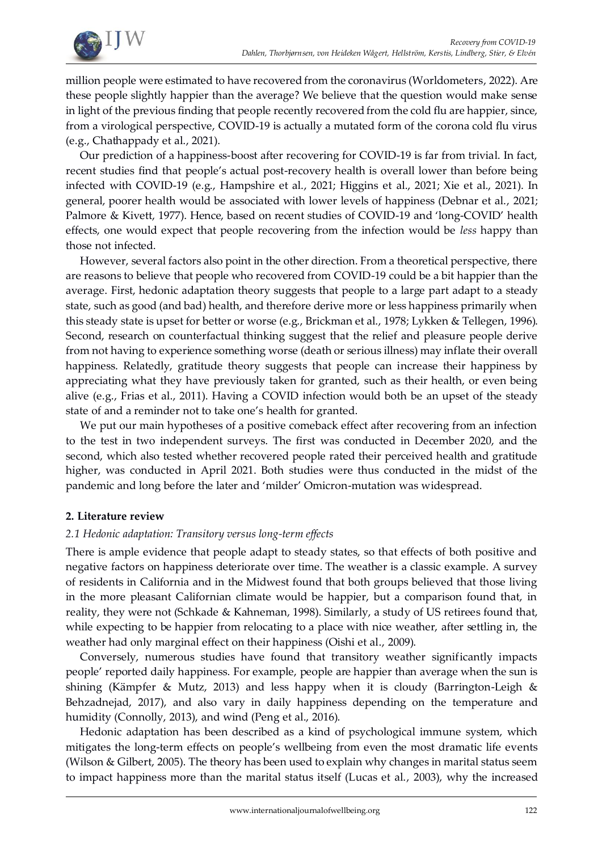

million people were estimated to have recovered from the coronavirus (Worldometers, 2022). Are these people slightly happier than the average? We believe that the question would make sense in light of the previous finding that people recently recovered from the cold flu are happier, since, from a virological perspective, COVID-19 is actually a mutated form of the corona cold flu virus (e.g., Chathappady et al., 2021).

Our prediction of a happiness-boost after recovering for COVID-19 is far from trivial. In fact, recent studies find that people's actual post-recovery health is overall lower than before being infected with COVID-19 (e.g., Hampshire et al., 2021; Higgins et al., 2021; Xie et al., 2021). In general, poorer health would be associated with lower levels of happiness (Debnar et al., 2021; Palmore & Kivett, 1977). Hence, based on recent studies of COVID-19 and 'long-COVID' health effects, one would expect that people recovering from the infection would be *less* happy than those not infected.

However, several factors also point in the other direction. From a theoretical perspective, there are reasons to believe that people who recovered from COVID-19 could be a bit happier than the average. First, hedonic adaptation theory suggests that people to a large part adapt to a steady state, such as good (and bad) health, and therefore derive more or less happiness primarily when this steady state is upset for better or worse (e.g., Brickman et al., 1978; Lykken & Tellegen, 1996). Second, research on counterfactual thinking suggest that the relief and pleasure people derive from not having to experience something worse (death or serious illness) may inflate their overall happiness. Relatedly, gratitude theory suggests that people can increase their happiness by appreciating what they have previously taken for granted, such as their health, or even being alive (e.g., Frias et al., 2011). Having a COVID infection would both be an upset of the steady state of and a reminder not to take one's health for granted.

We put our main hypotheses of a positive comeback effect after recovering from an infection to the test in two independent surveys. The first was conducted in December 2020, and the second, which also tested whether recovered people rated their perceived health and gratitude higher, was conducted in April 2021. Both studies were thus conducted in the midst of the pandemic and long before the later and 'milder' Omicron-mutation was widespread.

# **2. Literature review**

# *2.1 Hedonic adaptation: Transitory versus long-term effects*

There is ample evidence that people adapt to steady states, so that effects of both positive and negative factors on happiness deteriorate over time. The weather is a classic example. A survey of residents in California and in the Midwest found that both groups believed that those living in the more pleasant Californian climate would be happier, but a comparison found that, in reality, they were not (Schkade & Kahneman, 1998). Similarly, a study of US retirees found that, while expecting to be happier from relocating to a place with nice weather, after settling in, the weather had only marginal effect on their happiness (Oishi et al., 2009).

Conversely, numerous studies have found that transitory weather significantly impacts people' reported daily happiness. For example, people are happier than average when the sun is shining (Kämpfer & Mutz, 2013) and less happy when it is cloudy (Barrington-Leigh & Behzadnejad, 2017), and also vary in daily happiness depending on the temperature and humidity (Connolly, 2013), and wind (Peng et al., 2016).

Hedonic adaptation has been described as a kind of psychological immune system, which mitigates the long-term effects on people's wellbeing from even the most dramatic life events (Wilson & Gilbert, 2005). The theory has been used to explain why changes in marital status seem to impact happiness more than the marital status itself (Lucas et al., 2003), why the increased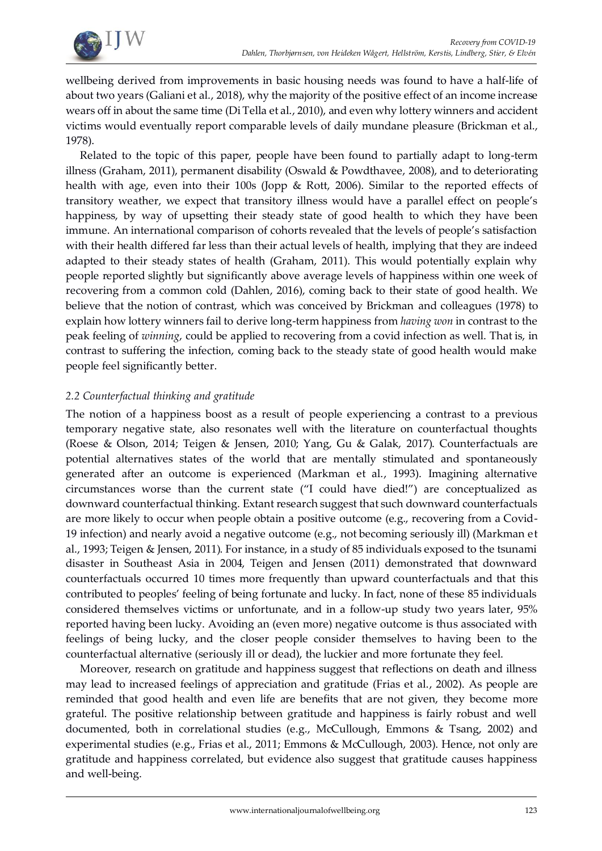

wellbeing derived from improvements in basic housing needs was found to have a half-life of about two years (Galiani et al., 2018), why the majority of the positive effect of an income increase wears off in about the same time (Di Tella et al., 2010), and even why lottery winners and accident victims would eventually report comparable levels of daily mundane pleasure (Brickman et al., 1978).

Related to the topic of this paper, people have been found to partially adapt to long-term illness (Graham, 2011), permanent disability (Oswald & Powdthavee, 2008), and to deteriorating health with age, even into their 100s (Jopp & Rott, 2006). Similar to the reported effects of transitory weather, we expect that transitory illness would have a parallel effect on people's happiness, by way of upsetting their steady state of good health to which they have been immune. An international comparison of cohorts revealed that the levels of people's satisfaction with their health differed far less than their actual levels of health, implying that they are indeed adapted to their steady states of health (Graham, 2011). This would potentially explain why people reported slightly but significantly above average levels of happiness within one week of recovering from a common cold (Dahlen, 2016), coming back to their state of good health. We believe that the notion of contrast, which was conceived by Brickman and colleagues (1978) to explain how lottery winners fail to derive long-term happiness from *having won* in contrast to the peak feeling of *winning*, could be applied to recovering from a covid infection as well. That is, in contrast to suffering the infection, coming back to the steady state of good health would make people feel significantly better.

# *2.2 Counterfactual thinking and gratitude*

The notion of a happiness boost as a result of people experiencing a contrast to a previous temporary negative state, also resonates well with the literature on counterfactual thoughts (Roese & Olson, 2014; Teigen & Jensen, 2010; Yang, Gu & Galak, 2017). Counterfactuals are potential alternatives states of the world that are mentally stimulated and spontaneously generated after an outcome is experienced (Markman et al., 1993). Imagining alternative circumstances worse than the current state ("I could have died!") are conceptualized as downward counterfactual thinking. Extant research suggest that such downward counterfactuals are more likely to occur when people obtain a positive outcome (e.g., recovering from a Covid-19 infection) and nearly avoid a negative outcome (e.g., not becoming seriously ill) (Markman et al., 1993; Teigen & Jensen, 2011). For instance, in a study of 85 individuals exposed to the tsunami disaster in Southeast Asia in 2004, Teigen and Jensen (2011) demonstrated that downward counterfactuals occurred 10 times more frequently than upward counterfactuals and that this contributed to peoples' feeling of being fortunate and lucky. In fact, none of these 85 individuals considered themselves victims or unfortunate, and in a follow-up study two years later, 95% reported having been lucky. Avoiding an (even more) negative outcome is thus associated with feelings of being lucky, and the closer people consider themselves to having been to the counterfactual alternative (seriously ill or dead), the luckier and more fortunate they feel.

Moreover, research on gratitude and happiness suggest that reflections on death and illness may lead to increased feelings of appreciation and gratitude (Frias et al., 2002). As people are reminded that good health and even life are benefits that are not given, they become more grateful. The positive relationship between gratitude and happiness is fairly robust and well documented, both in correlational studies (e.g., McCullough, Emmons & Tsang, 2002) and experimental studies (e.g., Frias et al., 2011; Emmons & McCullough, 2003). Hence, not only are gratitude and happiness correlated, but evidence also suggest that gratitude causes happiness and well-being.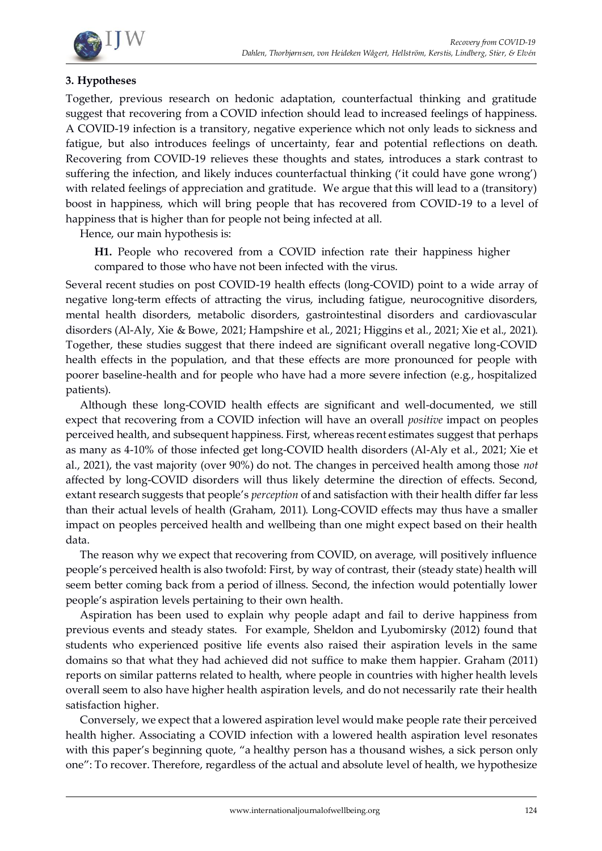

# **3. Hypotheses**

Together, previous research on hedonic adaptation, counterfactual thinking and gratitude suggest that recovering from a COVID infection should lead to increased feelings of happiness. A COVID-19 infection is a transitory, negative experience which not only leads to sickness and fatigue, but also introduces feelings of uncertainty, fear and potential reflections on death. Recovering from COVID-19 relieves these thoughts and states, introduces a stark contrast to suffering the infection, and likely induces counterfactual thinking ('it could have gone wrong') with related feelings of appreciation and gratitude. We argue that this will lead to a (transitory) boost in happiness, which will bring people that has recovered from COVID-19 to a level of happiness that is higher than for people not being infected at all.

Hence, our main hypothesis is:

**H1.** People who recovered from a COVID infection rate their happiness higher compared to those who have not been infected with the virus.

Several recent studies on post COVID-19 health effects (long-COVID) point to a wide array of negative long-term effects of attracting the virus, including fatigue, neurocognitive disorders, mental health disorders, metabolic disorders, gastrointestinal disorders and cardiovascular disorders (Al-Aly, Xie & Bowe, 2021; Hampshire et al., 2021; Higgins et al., 2021; Xie et al., 2021). Together, these studies suggest that there indeed are significant overall negative long-COVID health effects in the population, and that these effects are more pronounced for people with poorer baseline-health and for people who have had a more severe infection (e.g., hospitalized patients).

Although these long-COVID health effects are significant and well-documented, we still expect that recovering from a COVID infection will have an overall *positive* impact on peoples perceived health, and subsequent happiness. First, whereas recent estimates suggest that perhaps as many as 4-10% of those infected get long-COVID health disorders (Al-Aly et al., 2021; Xie et al., 2021), the vast majority (over 90%) do not. The changes in perceived health among those *not* affected by long-COVID disorders will thus likely determine the direction of effects. Second, extant research suggests that people's *perception* of and satisfaction with their health differ far less than their actual levels of health (Graham, 2011). Long-COVID effects may thus have a smaller impact on peoples perceived health and wellbeing than one might expect based on their health data.

The reason why we expect that recovering from COVID, on average, will positively influence people's perceived health is also twofold: First, by way of contrast, their (steady state) health will seem better coming back from a period of illness. Second, the infection would potentially lower people's aspiration levels pertaining to their own health.

Aspiration has been used to explain why people adapt and fail to derive happiness from previous events and steady states. For example, Sheldon and Lyubomirsky (2012) found that students who experienced positive life events also raised their aspiration levels in the same domains so that what they had achieved did not suffice to make them happier. Graham (2011) reports on similar patterns related to health, where people in countries with higher health levels overall seem to also have higher health aspiration levels, and do not necessarily rate their health satisfaction higher.

Conversely, we expect that a lowered aspiration level would make people rate their perceived health higher. Associating a COVID infection with a lowered health aspiration level resonates with this paper's beginning quote, "a healthy person has a thousand wishes, a sick person only one": To recover. Therefore, regardless of the actual and absolute level of health, we hypothesize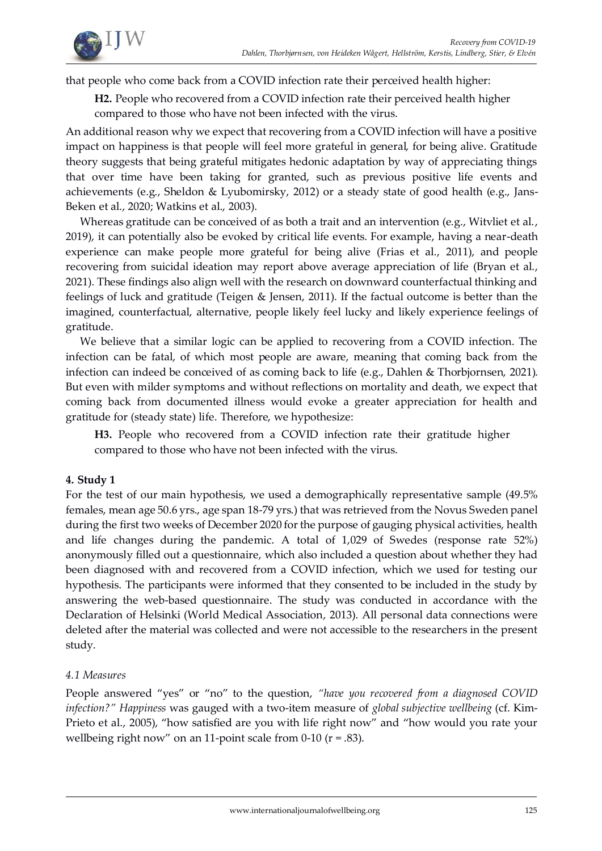

that people who come back from a COVID infection rate their perceived health higher:

**H2.** People who recovered from a COVID infection rate their perceived health higher compared to those who have not been infected with the virus.

An additional reason why we expect that recovering from a COVID infection will have a positive impact on happiness is that people will feel more grateful in general, for being alive. Gratitude theory suggests that being grateful mitigates hedonic adaptation by way of appreciating things that over time have been taking for granted, such as previous positive life events and achievements (e.g., Sheldon & Lyubomirsky, 2012) or a steady state of good health (e.g., Jans-Beken et al., 2020; Watkins et al., 2003).

Whereas gratitude can be conceived of as both a trait and an intervention (e.g., Witvliet et al., 2019), it can potentially also be evoked by critical life events. For example, having a near-death experience can make people more grateful for being alive (Frias et al., 2011), and people recovering from suicidal ideation may report above average appreciation of life (Bryan et al., 2021). These findings also align well with the research on downward counterfactual thinking and feelings of luck and gratitude (Teigen & Jensen, 2011). If the factual outcome is better than the imagined, counterfactual, alternative, people likely feel lucky and likely experience feelings of gratitude.

We believe that a similar logic can be applied to recovering from a COVID infection. The infection can be fatal, of which most people are aware, meaning that coming back from the infection can indeed be conceived of as coming back to life (e.g., Dahlen & Thorbjornsen, 2021). But even with milder symptoms and without reflections on mortality and death, we expect that coming back from documented illness would evoke a greater appreciation for health and gratitude for (steady state) life. Therefore, we hypothesize:

**H3.** People who recovered from a COVID infection rate their gratitude higher compared to those who have not been infected with the virus.

# **4. Study 1**

For the test of our main hypothesis, we used a demographically representative sample (49.5% females, mean age 50.6 yrs., age span 18-79 yrs.) that was retrieved from the Novus Sweden panel during the first two weeks of December 2020 for the purpose of gauging physical activities, health and life changes during the pandemic. A total of 1,029 of Swedes (response rate 52%) anonymously filled out a questionnaire, which also included a question about whether they had been diagnosed with and recovered from a COVID infection, which we used for testing our hypothesis. The participants were informed that they consented to be included in the study by answering the web-based questionnaire. The study was conducted in accordance with the Declaration of Helsinki (World Medical Association, 2013). All personal data connections were deleted after the material was collected and were not accessible to the researchers in the present study.

# *4.1 Measures*

People answered "yes" or "no" to the question, *"have you recovered from a diagnosed COVID infection?" Happiness* was gauged with a two-item measure of *global subjective wellbeing* (cf. Kim-Prieto et al., 2005), "how satisfied are you with life right now" and "how would you rate your wellbeing right now" on an 11-point scale from  $0-10$  ( $r = .83$ ).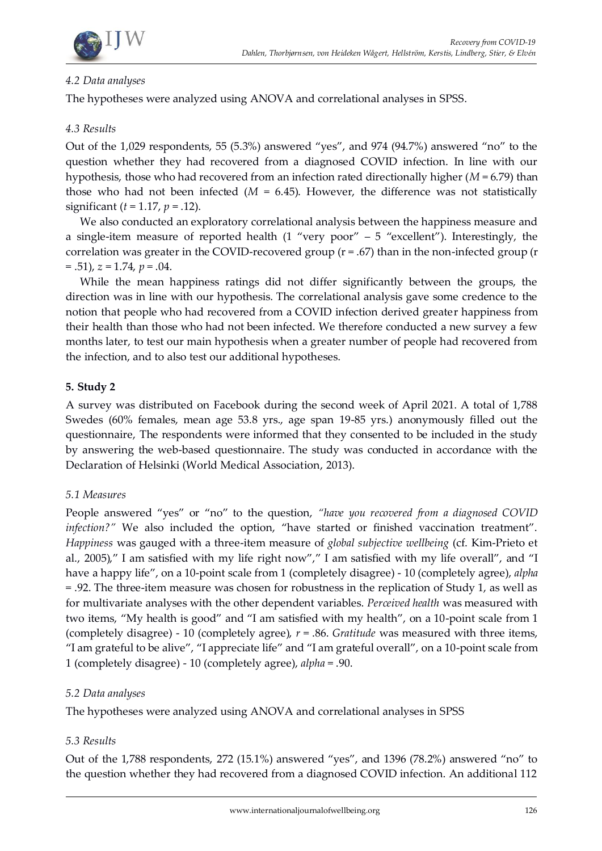

# *4.2 Data analyses*

The hypotheses were analyzed using ANOVA and correlational analyses in SPSS.

# *4.3 Results*

Out of the 1,029 respondents, 55 (5.3%) answered "yes", and 974 (94.7%) answered "no" to the question whether they had recovered from a diagnosed COVID infection. In line with our hypothesis, those who had recovered from an infection rated directionally higher (*M* = 6.79) than those who had not been infected  $(M = 6.45)$ . However, the difference was not statistically significant (*t* = 1.17, *p* = .12).

We also conducted an exploratory correlational analysis between the happiness measure and a single-item measure of reported health  $(1$  "very poor" – 5 "excellent"). Interestingly, the correlation was greater in the COVID-recovered group  $(r = .67)$  than in the non-infected group  $(r = .67)$ = .51), *z* = 1.74, *p* = .04.

While the mean happiness ratings did not differ significantly between the groups, the direction was in line with our hypothesis. The correlational analysis gave some credence to the notion that people who had recovered from a COVID infection derived greater happiness from their health than those who had not been infected. We therefore conducted a new survey a few months later, to test our main hypothesis when a greater number of people had recovered from the infection, and to also test our additional hypotheses.

# **5. Study 2**

A survey was distributed on Facebook during the second week of April 2021. A total of 1,788 Swedes (60% females, mean age 53.8 yrs., age span 19-85 yrs.) anonymously filled out the questionnaire, The respondents were informed that they consented to be included in the study by answering the web-based questionnaire. The study was conducted in accordance with the Declaration of Helsinki (World Medical Association, 2013).

## *5.1 Measures*

People answered "yes" or "no" to the question, *"have you recovered from a diagnosed COVID infection?"* We also included the option, "have started or finished vaccination treatment". *Happiness* was gauged with a three-item measure of *global subjective wellbeing* (cf. Kim-Prieto et al., 2005)," I am satisfied with my life right now"," I am satisfied with my life overall", and "I have a happy life", on a 10-point scale from 1 (completely disagree) - 10 (completely agree), *alpha* = .92. The three-item measure was chosen for robustness in the replication of Study 1, as well as for multivariate analyses with the other dependent variables. *Perceived health* was measured with two items, "My health is good" and "I am satisfied with my health", on a 10-point scale from 1 (completely disagree) - 10 (completely agree), *r* = .86. *Gratitude* was measured with three items, "I am grateful to be alive", "I appreciate life" and "I am grateful overall", on a 10-point scale from 1 (completely disagree) - 10 (completely agree), *alpha* = .90.

## *5.2 Data analyses*

The hypotheses were analyzed using ANOVA and correlational analyses in SPSS

# *5.3 Results*

Out of the 1,788 respondents, 272 (15.1%) answered "yes", and 1396 (78.2%) answered "no" to the question whether they had recovered from a diagnosed COVID infection. An additional 112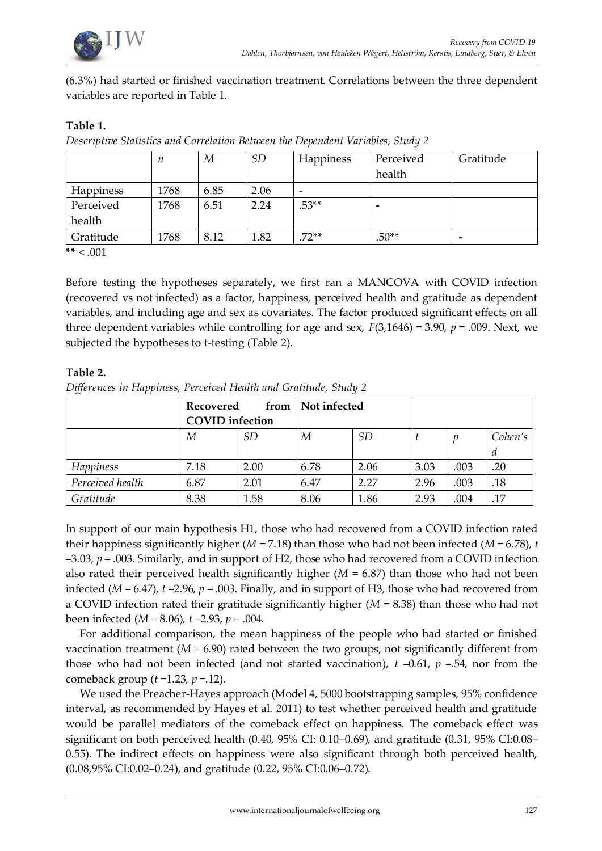

(6.3%) had started or finished vaccination treatment. Correlations between the three dependent variables are reported in Table 1.

## **Table 1.**

*Descriptive Statistics and Correlation Between the Dependent Variables, Study 2*

|                  | п    | М    | SD   | Happiness | Perceived<br>health | Gratitude                |
|------------------|------|------|------|-----------|---------------------|--------------------------|
| <b>Happiness</b> | 1768 | 6.85 | 2.06 |           |                     |                          |
| Perceived        | 1768 | 6.51 | 2.24 | $.53**$   | -                   |                          |
| health           |      |      |      |           |                     |                          |
| Gratitude        | 1768 | 8.12 | 1.82 | $.72**$   | $.50**$             | $\overline{\phantom{0}}$ |

**\*\*** < .001

Before testing the hypotheses separately, we first ran a MANCOVA with COVID infection (recovered vs not infected) as a factor, happiness, perceived health and gratitude as dependent variables, and including age and sex as covariates. The factor produced significant effects on all three dependent variables while controlling for age and sex,  $F(3,1646) = 3.90$ ,  $p = .009$ . Next, we subjected the hypotheses to t-testing (Table 2).

## **Table 2.**

| Differences in Happiness, Perceived Health and Gratitude, Study 2 |  |  |  |
|-------------------------------------------------------------------|--|--|--|
|                                                                   |  |  |  |
|                                                                   |  |  |  |
|                                                                   |  |  |  |

|                  | Recovered<br><b>COVID</b> infection |      | from   Not infected |           |      |      |         |
|------------------|-------------------------------------|------|---------------------|-----------|------|------|---------|
|                  | М                                   | SD   | М                   | <b>SD</b> |      | p    | Cohen's |
|                  |                                     |      |                     |           |      |      | a       |
| Happiness        | 7.18                                | 2.00 | 6.78                | 2.06      | 3.03 | .003 | .20     |
| Perceived health | 6.87                                | 2.01 | 6.47                | 2.27      | 2.96 | .003 | .18     |
| Gratitude        | 8.38                                | 1.58 | 8.06                | 1.86      | 2.93 | .004 | .17     |

In support of our main hypothesis H1, those who had recovered from a COVID infection rated their happiness significantly higher ( $M = 7.18$ ) than those who had not been infected ( $M = 6.78$ ), *t* =3.03, *p* = .003. Similarly, and in support of H2, those who had recovered from a COVID infection also rated their perceived health significantly higher  $(M = 6.87)$  than those who had not been infected (*M* = 6.47), *t* =2.96, *p* = .003. Finally, and in support of H3, those who had recovered from a COVID infection rated their gratitude significantly higher (*M* = 8.38) than those who had not been infected (*M* = 8.06), *t* =2.93, *p* = .004.

For additional comparison, the mean happiness of the people who had started or finished vaccination treatment  $(M = 6.90)$  rated between the two groups, not significantly different from those who had not been infected (and not started vaccination),  $t = 0.61$ ,  $p = 0.54$ , nor from the comeback group (*t* =1.23, *p* =.12).

We used the Preacher-Hayes approach (Model 4, 5000 bootstrapping samples, 95% confidence interval, as recommended by Hayes et al. 2011) to test whether perceived health and gratitude would be parallel mediators of the comeback effect on happiness. The comeback effect was significant on both perceived health (0.40, 95% CI: 0.10–0.69), and gratitude (0.31, 95% CI:0.08– 0.55). The indirect effects on happiness were also significant through both perceived health, (0.08,95% CI:0.02–0.24), and gratitude (0.22, 95% CI:0.06–0.72).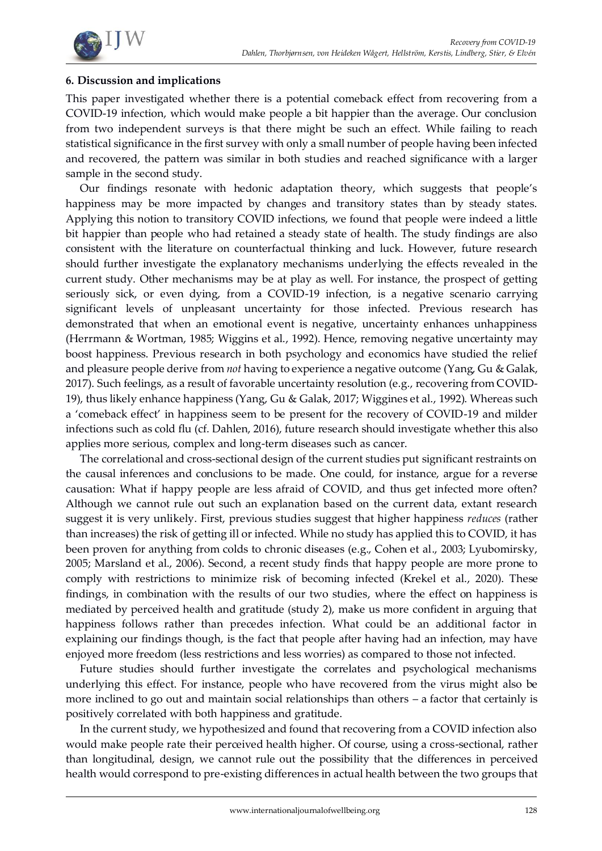

## **6. Discussion and implications**

This paper investigated whether there is a potential comeback effect from recovering from a COVID-19 infection, which would make people a bit happier than the average. Our conclusion from two independent surveys is that there might be such an effect. While failing to reach statistical significance in the first survey with only a small number of people having been infected and recovered, the pattern was similar in both studies and reached significance with a larger sample in the second study.

Our findings resonate with hedonic adaptation theory, which suggests that people's happiness may be more impacted by changes and transitory states than by steady states. Applying this notion to transitory COVID infections, we found that people were indeed a little bit happier than people who had retained a steady state of health. The study findings are also consistent with the literature on counterfactual thinking and luck. However, future research should further investigate the explanatory mechanisms underlying the effects revealed in the current study. Other mechanisms may be at play as well. For instance, the prospect of getting seriously sick, or even dying, from a COVID-19 infection, is a negative scenario carrying significant levels of unpleasant uncertainty for those infected. Previous research has demonstrated that when an emotional event is negative, uncertainty enhances unhappiness (Herrmann & Wortman, 1985; Wiggins et al., 1992). Hence, removing negative uncertainty may boost happiness. Previous research in both psychology and economics have studied the relief and pleasure people derive from *not* having to experience a negative outcome (Yang, Gu & Galak, 2017). Such feelings, as a result of favorable uncertainty resolution (e.g., recovering from COVID-19), thus likely enhance happiness (Yang, Gu & Galak, 2017; Wiggines et al., 1992). Whereas such a 'comeback effect' in happiness seem to be present for the recovery of COVID-19 and milder infections such as cold flu (cf. Dahlen, 2016), future research should investigate whether this also applies more serious, complex and long-term diseases such as cancer.

The correlational and cross-sectional design of the current studies put significant restraints on the causal inferences and conclusions to be made. One could, for instance, argue for a reverse causation: What if happy people are less afraid of COVID, and thus get infected more often? Although we cannot rule out such an explanation based on the current data, extant research suggest it is very unlikely. First, previous studies suggest that higher happiness *reduces* (rather than increases) the risk of getting ill or infected. While no study has applied this to COVID, it has been proven for anything from colds to chronic diseases (e.g., Cohen et al., 2003; Lyubomirsky, 2005; Marsland et al., 2006). Second, a recent study finds that happy people are more prone to comply with restrictions to minimize risk of becoming infected (Krekel et al., 2020). These findings, in combination with the results of our two studies, where the effect on happiness is mediated by perceived health and gratitude (study 2), make us more confident in arguing that happiness follows rather than precedes infection. What could be an additional factor in explaining our findings though, is the fact that people after having had an infection, may have enjoyed more freedom (less restrictions and less worries) as compared to those not infected.

Future studies should further investigate the correlates and psychological mechanisms underlying this effect. For instance, people who have recovered from the virus might also be more inclined to go out and maintain social relationships than others – a factor that certainly is positively correlated with both happiness and gratitude.

In the current study, we hypothesized and found that recovering from a COVID infection also would make people rate their perceived health higher. Of course, using a cross-sectional, rather than longitudinal, design, we cannot rule out the possibility that the differences in perceived health would correspond to pre-existing differences in actual health between the two groups that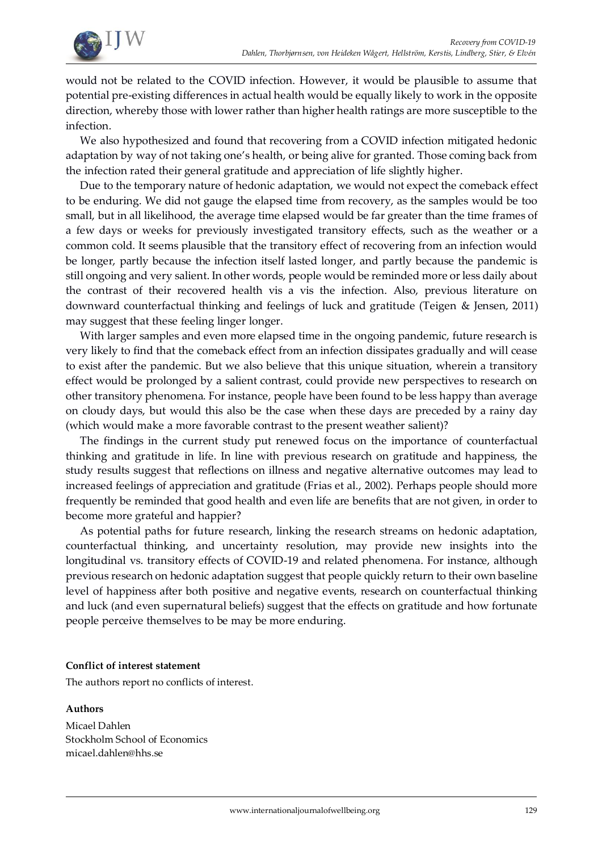

would not be related to the COVID infection. However, it would be plausible to assume that potential pre-existing differences in actual health would be equally likely to work in the opposite direction, whereby those with lower rather than higher health ratings are more susceptible to the infection.

We also hypothesized and found that recovering from a COVID infection mitigated hedonic adaptation by way of not taking one's health, or being alive for granted. Those coming back from the infection rated their general gratitude and appreciation of life slightly higher.

Due to the temporary nature of hedonic adaptation, we would not expect the comeback effect to be enduring. We did not gauge the elapsed time from recovery, as the samples would be too small, but in all likelihood, the average time elapsed would be far greater than the time frames of a few days or weeks for previously investigated transitory effects, such as the weather or a common cold. It seems plausible that the transitory effect of recovering from an infection would be longer, partly because the infection itself lasted longer, and partly because the pandemic is still ongoing and very salient. In other words, people would be reminded more or less daily about the contrast of their recovered health vis a vis the infection. Also, previous literature on downward counterfactual thinking and feelings of luck and gratitude (Teigen & Jensen, 2011) may suggest that these feeling linger longer.

With larger samples and even more elapsed time in the ongoing pandemic, future research is very likely to find that the comeback effect from an infection dissipates gradually and will cease to exist after the pandemic. But we also believe that this unique situation, wherein a transitory effect would be prolonged by a salient contrast, could provide new perspectives to research on other transitory phenomena. For instance, people have been found to be less happy than average on cloudy days, but would this also be the case when these days are preceded by a rainy day (which would make a more favorable contrast to the present weather salient)?

The findings in the current study put renewed focus on the importance of counterfactual thinking and gratitude in life. In line with previous research on gratitude and happiness, the study results suggest that reflections on illness and negative alternative outcomes may lead to increased feelings of appreciation and gratitude (Frias et al., 2002). Perhaps people should more frequently be reminded that good health and even life are benefits that are not given, in order to become more grateful and happier?

As potential paths for future research, linking the research streams on hedonic adaptation, counterfactual thinking, and uncertainty resolution, may provide new insights into the longitudinal vs. transitory effects of COVID-19 and related phenomena. For instance, although previous research on hedonic adaptation suggest that people quickly return to their own baseline level of happiness after both positive and negative events, research on counterfactual thinking and luck (and even supernatural beliefs) suggest that the effects on gratitude and how fortunate people perceive themselves to be may be more enduring.

#### **Conflict of interest statement**

The authors report no conflicts of interest.

## **Authors**

Micael Dahlen Stockholm School of Economics micael.dahlen@hhs.se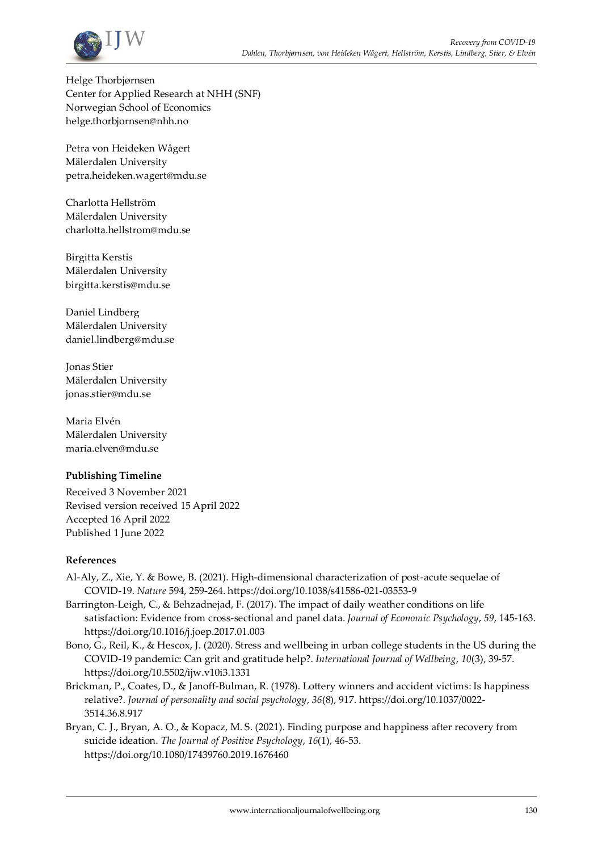

Helge Thorbjørnsen Center for Applied Research at NHH (SNF) Norwegian School of Economics helge.thorbjornsen@nhh.no

Petra von Heideken Wågert Mälerdalen University petra.heideken.wagert@mdu.se

Charlotta Hellström Mälerdalen University charlotta.hellstrom@mdu.se

Birgitta Kerstis Mälerdalen University birgitta.kerstis@mdu.se

Daniel Lindberg Mälerdalen University daniel.lindberg@mdu.se

Jonas Stier Mälerdalen University jonas.stier@mdu.se

Maria Elvén Mälerdalen University maria.elven@mdu.se

## **Publishing Timeline**

Received 3 November 2021 Revised version received 15 April 2022 Accepted 16 April 2022 Published 1 June 2022

#### **References**

- Al-Aly, Z., Xie, Y. & Bowe, B. (2021). High-dimensional characterization of post-acute sequelae of COVID-19. *Nature* 594, 259-264. https://doi.org/10.1038/s41586-021-03553-9
- Barrington-Leigh, C., & Behzadnejad, F. (2017). The impact of daily weather conditions on life satisfaction: Evidence from cross-sectional and panel data. *Journal of Economic Psychology*, *59*, 145-163. https://doi.org/10.1016/j.joep.2017.01.003
- Bono, G., Reil, K., & Hescox, J. (2020). Stress and wellbeing in urban college students in the US during the COVID-19 pandemic: Can grit and gratitude help?. *International Journal of Wellbeing*, *10*(3), 39-57. https://doi.org/10.5502/ijw.v10i3.1331
- Brickman, P., Coates, D., & Janoff-Bulman, R. (1978). Lottery winners and accident victims: Is happiness relative?. *Journal of personality and social psychology*, *36*(8), 917. https://doi.org/10.1037/0022- 3514.36.8.917
- Bryan, C. J., Bryan, A. O., & Kopacz, M. S. (2021). Finding purpose and happiness after recovery from suicide ideation. *The Journal of Positive Psychology*, *16*(1), 46-53. https://doi.org/10.1080/17439760.2019.1676460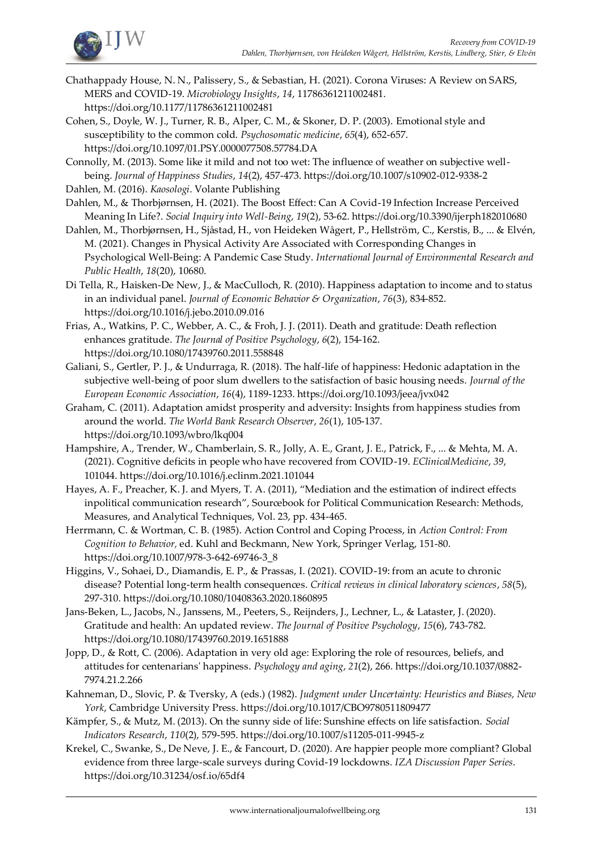

- Chathappady House, N. N., Palissery, S., & Sebastian, H. (2021). Corona Viruses: A Review on SARS, MERS and COVID-19. *Microbiology Insights*, *14*, 11786361211002481. https://doi.org/10.1177/11786361211002481
- Cohen, S., Doyle, W. J., Turner, R. B., Alper, C. M., & Skoner, D. P. (2003). Emotional style and susceptibility to the common cold. *Psychosomatic medicine*, *65*(4), 652-657. https://doi.org/10.1097/01.PSY.0000077508.57784.DA

Connolly, M. (2013). Some like it mild and not too wet: The influence of weather on subjective wellbeing. *Journal of Happiness Studies*, *14*(2), 457-473. https://doi.org/10.1007/s10902-012-9338-2

- Dahlen, M. (2016). *Kaosologi*. Volante Publishing
- Dahlen, M., & Thorbjørnsen, H. (2021). The Boost Effect: Can A Covid-19 Infection Increase Perceived Meaning In Life?. *Social Inquiry into Well-Being*, *19*(2), 53-62. https://doi.org/10.3390/ijerph182010680
- Dahlen, M., Thorbjørnsen, H., Sjåstad, H., von Heideken Wågert, P., Hellström, C., Kerstis, B., ... & Elvén, M. (2021). Changes in Physical Activity Are Associated with Corresponding Changes in Psychological Well-Being: A Pandemic Case Study. *International Journal of Environmental Research and Public Health*, *18*(20), 10680.
- Di Tella, R., Haisken-De New, J., & MacCulloch, R. (2010). Happiness adaptation to income and to status in an individual panel. *Journal of Economic Behavior & Organization*, *76*(3), 834-852. https://doi.org/10.1016/j.jebo.2010.09.016
- Frias, A., Watkins, P. C., Webber, A. C., & Froh, J. J. (2011). Death and gratitude: Death reflection enhances gratitude. *The Journal of Positive Psychology*, *6*(2), 154-162. https://doi.org/10.1080/17439760.2011.558848
- Galiani, S., Gertler, P. J., & Undurraga, R. (2018). The half-life of happiness: Hedonic adaptation in the subjective well-being of poor slum dwellers to the satisfaction of basic housing needs. *Journal of the European Economic Association*, *16*(4), 1189-1233. https://doi.org/10.1093/jeea/jvx042
- Graham, C. (2011). Adaptation amidst prosperity and adversity: Insights from happiness studies from around the world. *The World Bank Research Observer*, *26*(1), 105-137. https://doi.org/10.1093/wbro/lkq004
- Hampshire, A., Trender, W., Chamberlain, S. R., Jolly, A. E., Grant, J. E., Patrick, F., ... & Mehta, M. A. (2021). Cognitive deficits in people who have recovered from COVID-19. *EClinicalMedicine*, *39*, 101044. https://doi.org/10.1016/j.eclinm.2021.101044
- Hayes, A. F., Preacher, K. J. and Myers, T. A. (2011), "Mediation and the estimation of indirect effects inpolitical communication research", Sourcebook for Political Communication Research: Methods, Measures, and Analytical Techniques, Vol. 23, pp. 434-465.
- Herrmann, C. & Wortman, C. B. (1985). Action Control and Coping Process, in *Action Control: From Cognition to Behavior,* ed. Kuhl and Beckmann, New York, Springer Verlag, 151-80. https://doi.org/10.1007/978-3-642-69746-3\_8
- Higgins, V., Sohaei, D., Diamandis, E. P., & Prassas, I. (2021). COVID-19: from an acute to chronic disease? Potential long-term health consequences. *Critical reviews in clinical laboratory sciences*, *58*(5), 297-310. https://doi.org/10.1080/10408363.2020.1860895
- Jans-Beken, L., Jacobs, N., Janssens, M., Peeters, S., Reijnders, J., Lechner, L., & Lataster, J. (2020). Gratitude and health: An updated review. *The Journal of Positive Psychology*, *15*(6), 743-782. https://doi.org/10.1080/17439760.2019.1651888
- Jopp, D., & Rott, C. (2006). Adaptation in very old age: Exploring the role of resources, beliefs, and attitudes for centenarians' happiness. *Psychology and aging*, *21*(2), 266. https://doi.org/10.1037/0882- 7974.21.2.266
- Kahneman, D., Slovic, P. & Tversky, A (eds.) (1982). *Judgment under Uncertainty: Heuristics and Biases, New York*, Cambridge University Press. https://doi.org/10.1017/CBO9780511809477
- Kämpfer, S., & Mutz, M. (2013). On the sunny side of life: Sunshine effects on life satisfaction. *Social Indicators Research*, *110*(2), 579-595. https://doi.org/10.1007/s11205-011-9945-z
- Krekel, C., Swanke, S., De Neve, J. E., & Fancourt, D. (2020). Are happier people more compliant? Global evidence from three large-scale surveys during Covid-19 lockdowns. *IZA Discussion Paper Series*. https://doi.org/10.31234/osf.io/65df4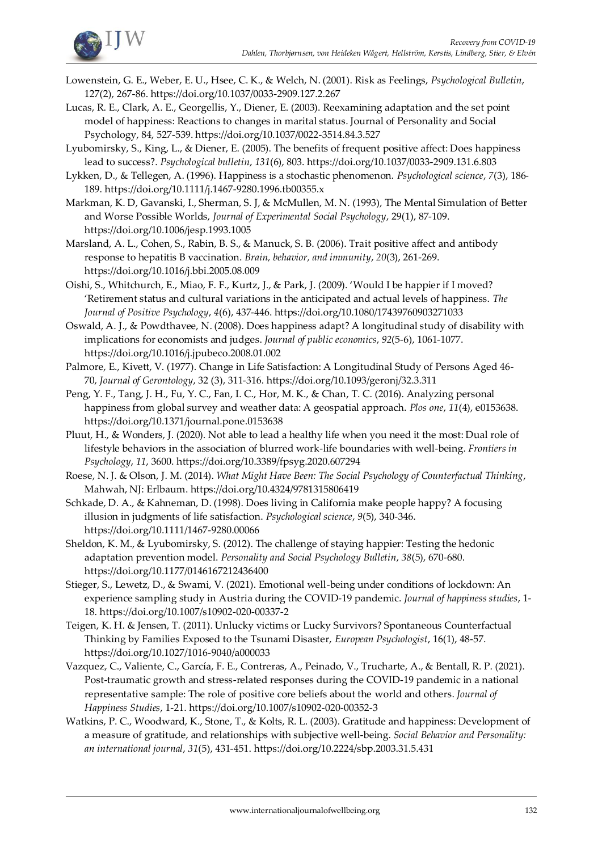

- Lowenstein, G. E., Weber, E. U., Hsee, C. K., & Welch, N. (2001). Risk as Feelings, *Psychological Bulletin*, 127(2), 267-86. https://doi.org/10.1037/0033-2909.127.2.267
- Lucas, R. E., Clark, A. E., Georgellis, Y., Diener, E. (2003). Reexamining adaptation and the set point model of happiness: Reactions to changes in marital status. Journal of Personality and Social Psychology, 84, 527-539. https://doi.org/10.1037/0022-3514.84.3.527
- Lyubomirsky, S., King, L., & Diener, E. (2005). The benefits of frequent positive affect: Does happiness lead to success?. *Psychological bulletin*, *131*(6), 803. https://doi.org/10.1037/0033-2909.131.6.803
- Lykken, D., & Tellegen, A. (1996). Happiness is a stochastic phenomenon. *Psychological science*, *7*(3), 186- 189. https://doi.org/10.1111/j.1467-9280.1996.tb00355.x
- Markman, K. D, Gavanski, I., Sherman, S. J, & McMullen, M. N. (1993), The Mental Simulation of Better and Worse Possible Worlds, *Journal of Experimental Social Psychology*, 29(1), 87-109. https://doi.org/10.1006/jesp.1993.1005
- Marsland, A. L., Cohen, S., Rabin, B. S., & Manuck, S. B. (2006). Trait positive affect and antibody response to hepatitis B vaccination. *Brain, behavior, and immunity*, *20*(3), 261-269. https://doi.org/10.1016/j.bbi.2005.08.009
- Oishi, S., Whitchurch, E., Miao, F. F., Kurtz, J., & Park, J. (2009). 'Would I be happier if I moved? 'Retirement status and cultural variations in the anticipated and actual levels of happiness. *The Journal of Positive Psychology*, *4*(6), 437-446. https://doi.org/10.1080/17439760903271033
- Oswald, A. J., & Powdthavee, N. (2008). Does happiness adapt? A longitudinal study of disability with implications for economists and judges. *Journal of public economics*, *92*(5-6), 1061-1077. https://doi.org/10.1016/j.jpubeco.2008.01.002
- Palmore, E., Kivett, V. (1977). Change in Life Satisfaction: A Longitudinal Study of Persons Aged 46- 70, *Journal of Gerontology*, 32 (3), 311-316. https://doi.org/10.1093/geronj/32.3.311
- Peng, Y. F., Tang, J. H., Fu, Y. C., Fan, I. C., Hor, M. K., & Chan, T. C. (2016). Analyzing personal happiness from global survey and weather data: A geospatial approach. *Plos one*, *11*(4), e0153638. https://doi.org/10.1371/journal.pone.0153638
- Pluut, H., & Wonders, J. (2020). Not able to lead a healthy life when you need it the most: Dual role of lifestyle behaviors in the association of blurred work-life boundaries with well-being. *Frontiers in Psychology*, *11*, 3600. https://doi.org/10.3389/fpsyg.2020.607294
- Roese, N. J. & Olson, J. M. (2014). *What Might Have Been: The Social Psychology of Counterfactual Thinking*, Mahwah, NJ: Erlbaum. https://doi.org/10.4324/9781315806419
- Schkade, D. A., & Kahneman, D. (1998). Does living in California make people happy? A focusing illusion in judgments of life satisfaction. *Psychological science*, *9*(5), 340-346. https://doi.org/10.1111/1467-9280.00066
- Sheldon, K. M., & Lyubomirsky, S. (2012). The challenge of staying happier: Testing the hedonic adaptation prevention model. *Personality and Social Psychology Bulletin*, *38*(5), 670-680. https://doi.org/10.1177/0146167212436400
- Stieger, S., Lewetz, D., & Swami, V. (2021). Emotional well-being under conditions of lockdown: An experience sampling study in Austria during the COVID-19 pandemic. *Journal of happiness studies*, 1- 18. https://doi.org/10.1007/s10902-020-00337-2
- Teigen, K. H. & Jensen, T. (2011). Unlucky victims or Lucky Survivors? Spontaneous Counterfactual Thinking by Families Exposed to the Tsunami Disaster, *European Psychologist*, 16(1), 48-57. https://doi.org/10.1027/1016-9040/a000033
- Vazquez, C., Valiente, C., García, F. E., Contreras, A., Peinado, V., Trucharte, A., & Bentall, R. P. (2021). Post-traumatic growth and stress-related responses during the COVID-19 pandemic in a national representative sample: The role of positive core beliefs about the world and others. *Journal of Happiness Studies*, 1-21. https://doi.org/10.1007/s10902-020-00352-3
- Watkins, P. C., Woodward, K., Stone, T., & Kolts, R. L. (2003). Gratitude and happiness: Development of a measure of gratitude, and relationships with subjective well-being. *Social Behavior and Personality: an international journal*, *31*(5), 431-451. https://doi.org/10.2224/sbp.2003.31.5.431